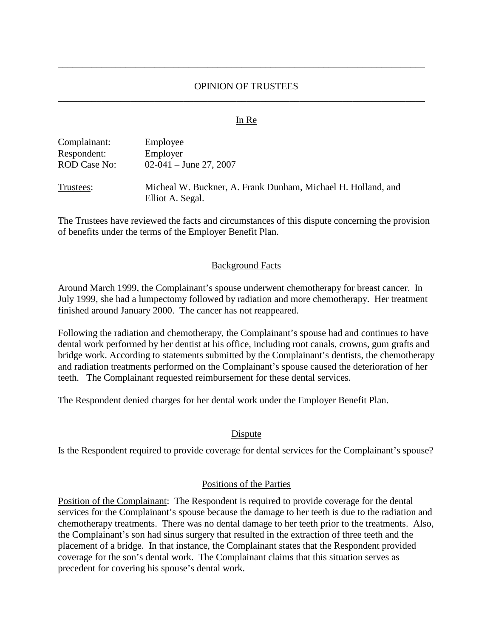# OPINION OF TRUSTEES \_\_\_\_\_\_\_\_\_\_\_\_\_\_\_\_\_\_\_\_\_\_\_\_\_\_\_\_\_\_\_\_\_\_\_\_\_\_\_\_\_\_\_\_\_\_\_\_\_\_\_\_\_\_\_\_\_\_\_\_\_\_\_\_\_\_\_\_\_\_\_\_\_\_\_\_

\_\_\_\_\_\_\_\_\_\_\_\_\_\_\_\_\_\_\_\_\_\_\_\_\_\_\_\_\_\_\_\_\_\_\_\_\_\_\_\_\_\_\_\_\_\_\_\_\_\_\_\_\_\_\_\_\_\_\_\_\_\_\_\_\_\_\_\_\_\_\_\_\_\_\_\_

#### In Re

| Complainant:        | Employee                                                     |
|---------------------|--------------------------------------------------------------|
| Respondent:         | Employer                                                     |
| <b>ROD Case No:</b> | $02-041 -$ June 27, 2007                                     |
| Trustees:           | Micheal W. Buckner, A. Frank Dunham, Michael H. Holland, and |

Elliot A. Segal.

The Trustees have reviewed the facts and circumstances of this dispute concerning the provision of benefits under the terms of the Employer Benefit Plan.

#### Background Facts

Around March 1999, the Complainant's spouse underwent chemotherapy for breast cancer. In July 1999, she had a lumpectomy followed by radiation and more chemotherapy. Her treatment finished around January 2000. The cancer has not reappeared.

Following the radiation and chemotherapy, the Complainant's spouse had and continues to have dental work performed by her dentist at his office, including root canals, crowns, gum grafts and bridge work. According to statements submitted by the Complainant's dentists, the chemotherapy and radiation treatments performed on the Complainant's spouse caused the deterioration of her teeth. The Complainant requested reimbursement for these dental services.

The Respondent denied charges for her dental work under the Employer Benefit Plan.

## **Dispute**

Is the Respondent required to provide coverage for dental services for the Complainant's spouse?

#### Positions of the Parties

Position of the Complainant: The Respondent is required to provide coverage for the dental services for the Complainant's spouse because the damage to her teeth is due to the radiation and chemotherapy treatments. There was no dental damage to her teeth prior to the treatments. Also, the Complainant's son had sinus surgery that resulted in the extraction of three teeth and the placement of a bridge. In that instance, the Complainant states that the Respondent provided coverage for the son's dental work. The Complainant claims that this situation serves as precedent for covering his spouse's dental work.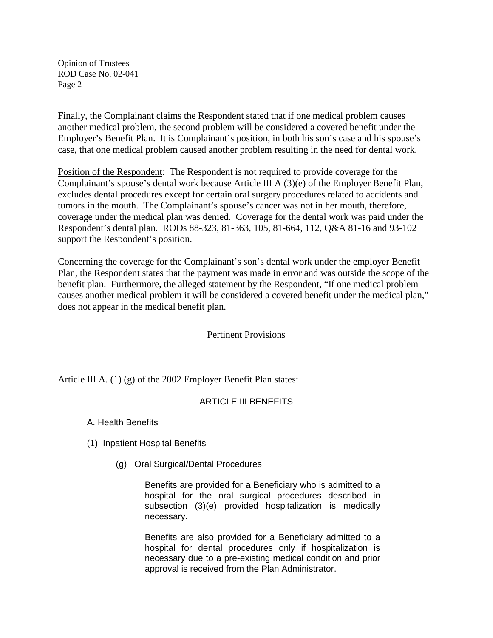Opinion of Trustees ROD Case No. 02-041 Page 2

Finally, the Complainant claims the Respondent stated that if one medical problem causes another medical problem, the second problem will be considered a covered benefit under the Employer's Benefit Plan. It is Complainant's position, in both his son's case and his spouse's case, that one medical problem caused another problem resulting in the need for dental work.

Position of the Respondent: The Respondent is not required to provide coverage for the Complainant's spouse's dental work because Article III A (3)(e) of the Employer Benefit Plan, excludes dental procedures except for certain oral surgery procedures related to accidents and tumors in the mouth. The Complainant's spouse's cancer was not in her mouth, therefore, coverage under the medical plan was denied. Coverage for the dental work was paid under the Respondent's dental plan. RODs 88-323, 81-363, 105, 81-664, 112, Q&A 81-16 and 93-102 support the Respondent's position.

Concerning the coverage for the Complainant's son's dental work under the employer Benefit Plan, the Respondent states that the payment was made in error and was outside the scope of the benefit plan. Furthermore, the alleged statement by the Respondent, "If one medical problem causes another medical problem it will be considered a covered benefit under the medical plan," does not appear in the medical benefit plan.

## Pertinent Provisions

Article III A. (1) (g) of the 2002 Employer Benefit Plan states:

## ARTICLE III BENEFITS

## A. Health Benefits

- (1) Inpatient Hospital Benefits
	- (g) Oral Surgical/Dental Procedures

Benefits are provided for a Beneficiary who is admitted to a hospital for the oral surgical procedures described in subsection (3)(e) provided hospitalization is medically necessary.

Benefits are also provided for a Beneficiary admitted to a hospital for dental procedures only if hospitalization is necessary due to a pre-existing medical condition and prior approval is received from the Plan Administrator.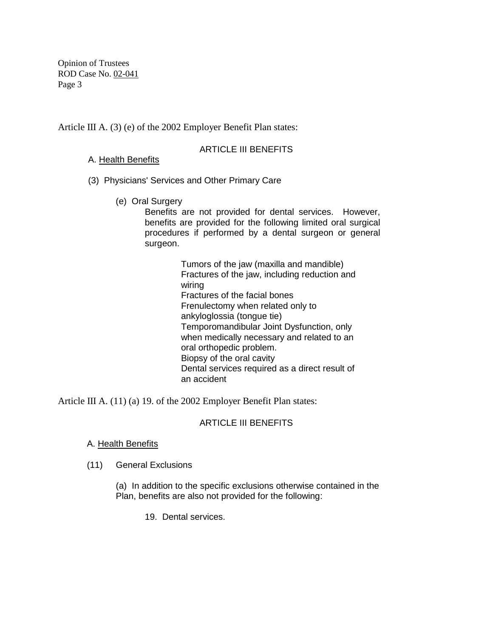Opinion of Trustees ROD Case No. 02-041 Page 3

Article III A. (3) (e) of the 2002 Employer Benefit Plan states:

## ARTICLE III BENEFITS

A. Health Benefits

- (3) Physicians' Services and Other Primary Care
	- (e) Oral Surgery

Benefits are not provided for dental services. However, benefits are provided for the following limited oral surgical procedures if performed by a dental surgeon or general surgeon.

> Tumors of the jaw (maxilla and mandible) Fractures of the jaw, including reduction and wiring Fractures of the facial bones Frenulectomy when related only to ankyloglossia (tongue tie) Temporomandibular Joint Dysfunction, only when medically necessary and related to an oral orthopedic problem. Biopsy of the oral cavity Dental services required as a direct result of an accident

Article III A. (11) (a) 19. of the 2002 Employer Benefit Plan states:

# ARTICLE III BENEFITS

## A. Health Benefits

(11) General Exclusions

(a) In addition to the specific exclusions otherwise contained in the Plan, benefits are also not provided for the following:

19. Dental services.